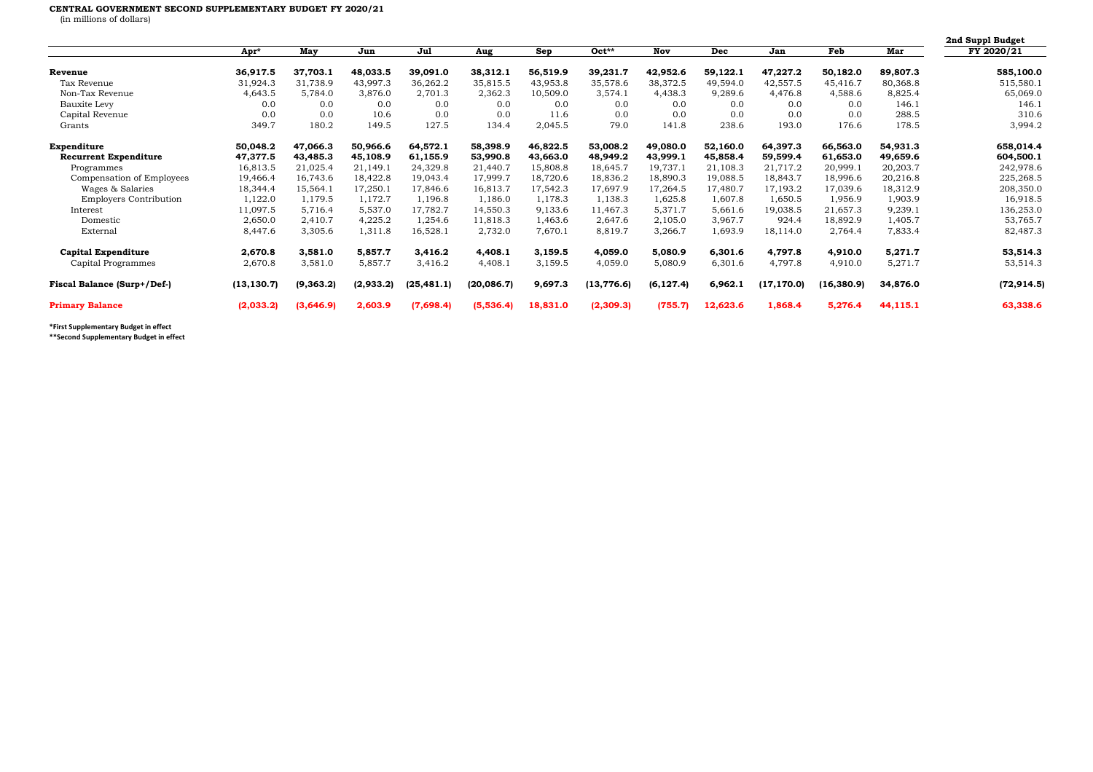## **CENTRAL GOVERNMENT SECOND SUPPLEMENTARY BUDGET FY 2020/21**

(in millions of dollars)

|                               |             |           |           |             |             |          |             |            |            |             |             |          | 2nd Suppl Budget |
|-------------------------------|-------------|-----------|-----------|-------------|-------------|----------|-------------|------------|------------|-------------|-------------|----------|------------------|
|                               | Apr*        | May       | Jun       | Jul         | Aug         | Sep      | $Oct**$     | Nov        | <b>Dec</b> | Jan         | Feb         | Mar      | FY 2020/21       |
| Revenue                       | 36,917.5    | 37,703.1  | 48,033.5  | 39,091.0    | 38,312.1    | 56,519.9 | 39,231.7    | 42,952.6   | 59,122.1   | 47,227.2    | 50,182.0    | 89,807.3 | 585,100.0        |
| Tax Revenue                   | 31,924.3    | 31,738.9  | 43,997.3  | 36,262.2    | 35,815.5    | 43,953.8 | 35,578.6    | 38,372.5   | 49,594.0   | 42,557.5    | 45,416.7    | 80,368.8 | 515,580.1        |
| Non-Tax Revenue               | 4,643.5     | 5,784.0   | 3,876.0   | 2,701.3     | 2,362.3     | 10,509.0 | 3,574.1     | 4,438.3    | 9,289.6    | 4,476.8     | 4,588.6     | 8,825.4  | 65,069.0         |
| Bauxite Levy                  | 0.0         | 0.0       | 0.0       | 0.0         | 0.0         | 0.0      | 0.0         | 0.0        | 0.0        | 0.0         | 0.0         | 146.1    | 146.1            |
| Capital Revenue               | 0.0         | 0.0       | 10.6      | 0.0         | 0.0         | 11.6     | 0.0         | 0.0        | 0.0        | 0.0         | 0.0         | 288.5    | 310.6            |
| Grants                        | 349.7       | 180.2     | 149.5     | 127.5       | 134.4       | 2,045.5  | 79.0        | 141.8      | 238.6      | 193.0       | 176.6       | 178.5    | 3,994.2          |
| Expenditure                   | 50,048.2    | 47,066.3  | 50,966.6  | 64,572.1    | 58,398.9    | 46,822.5 | 53,008.2    | 49,080.0   | 52,160.0   | 64,397.3    | 66,563.0    | 54,931.3 | 658,014.4        |
| <b>Recurrent Expenditure</b>  | 47,377.5    | 43,485.3  | 45,108.9  | 61,155.9    | 53,990.8    | 43,663.0 | 48,949.2    | 43,999.1   | 45,858.4   | 59,599.4    | 61,653.0    | 49,659.6 | 604,500.1        |
| Programmes                    | 16,813.5    | 21,025.4  | 21,149.1  | 24,329.8    | 21,440.7    | 15,808.8 | 18,645.7    | 19,737.1   | 21,108.3   | 21,717.2    | 20,999.1    | 20,203.7 | 242,978.6        |
| Compensation of Employees     | 19,466.4    | 16,743.6  | 18,422.8  | 19,043.4    | 17,999.7    | 18,720.6 | 18,836.2    | 18,890.3   | 19,088.5   | 18,843.7    | 18,996.6    | 20,216.8 | 225,268.5        |
| Wages & Salaries              | 18,344.4    | 15,564.1  | 17,250.1  | 17,846.6    | 16,813.7    | 17,542.3 | 17,697.9    | 17,264.5   | 17,480.7   | 17,193.2    | 17,039.6    | 18,312.9 | 208,350.0        |
| <b>Employers Contribution</b> | 1,122.0     | 1,179.5   | 1,172.7   | 1,196.8     | 1,186.0     | 1,178.3  | 1,138.3     | 1,625.8    | 1,607.8    | 1,650.5     | 1,956.9     | 1,903.9  | 16,918.5         |
| Interest                      | 11,097.5    | 5,716.4   | 5,537.0   | 17,782.7    | 14,550.3    | 9,133.6  | 11,467.3    | 5,371.7    | 5,661.6    | 19,038.5    | 21,657.3    | 9,239.1  | 136,253.0        |
| Domestic                      | 2,650.0     | 2,410.7   | 4,225.2   | 1,254.6     | 11,818.3    | 1,463.6  | 2,647.6     | 2,105.0    | 3,967.7    | 924.4       | 18,892.9    | 1,405.7  | 53,765.7         |
| External                      | 8,447.6     | 3,305.6   | 1,311.8   | 16,528.1    | 2,732.0     | 7,670.1  | 8,819.7     | 3,266.7    | 1,693.9    | 18,114.0    | 2,764.4     | 7,833.4  | 82,487.3         |
| <b>Capital Expenditure</b>    | 2,670.8     | 3,581.0   | 5,857.7   | 3,416.2     | 4,408.1     | 3,159.5  | 4,059.0     | 5,080.9    | 6,301.6    | 4,797.8     | 4,910.0     | 5,271.7  | 53,514.3         |
| Capital Programmes            | 2,670.8     | 3,581.0   | 5,857.7   | 3,416.2     | 4,408.1     | 3,159.5  | 4,059.0     | 5,080.9    | 6,301.6    | 4,797.8     | 4,910.0     | 5,271.7  | 53,514.3         |
| Fiscal Balance (Surp+/Def-)   | (13, 130.7) | (9,363.2) | (2,933.2) | (25, 481.1) | (20, 086.7) | 9,697.3  | (13, 776.6) | (6, 127.4) | 6,962.1    | (17, 170.0) | (16, 380.9) | 34,876.0 | (72, 914.5)      |
| <b>Primary Balance</b>        | (2,033.2)   | (3,646.9) | 2,603.9   | (7,698.4)   | (5,536.4)   | 18,831.0 | (2,309.3)   | (755.7)    | 12,623.6   | 1,868.4     | 5,276.4     | 44,115.1 | 63,338.6         |

**\*First Supplementary Budget in effect**

**\*\*Second Supplementary Budget in effect**